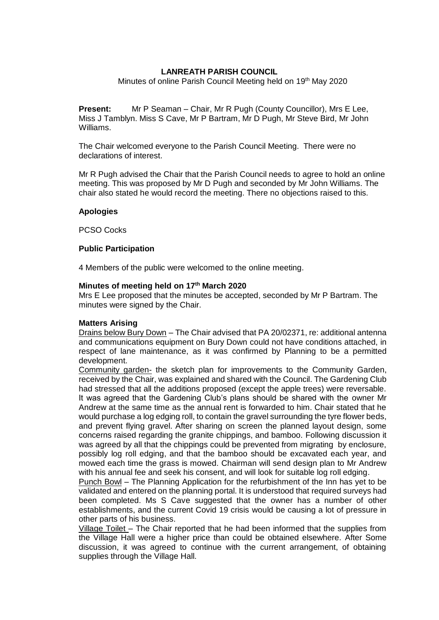# **LANREATH PARISH COUNCIL**

Minutes of online Parish Council Meeting held on 19<sup>th</sup> May 2020

**Present:** Mr P Seaman – Chair, Mr R Pugh (County Councillor), Mrs E Lee, Miss J Tamblyn. Miss S Cave, Mr P Bartram, Mr D Pugh, Mr Steve Bird, Mr John Williams.

The Chair welcomed everyone to the Parish Council Meeting. There were no declarations of interest.

Mr R Pugh advised the Chair that the Parish Council needs to agree to hold an online meeting. This was proposed by Mr D Pugh and seconded by Mr John Williams. The chair also stated he would record the meeting. There no objections raised to this.

### **Apologies**

PCSO Cocks

### **Public Participation**

4 Members of the public were welcomed to the online meeting.

### **Minutes of meeting held on 17th March 2020**

Mrs E Lee proposed that the minutes be accepted, seconded by Mr P Bartram. The minutes were signed by the Chair.

### **Matters Arising**

Drains below Bury Down – The Chair advised that PA 20/02371, re: additional antenna and communications equipment on Bury Down could not have conditions attached, in respect of lane maintenance, as it was confirmed by Planning to be a permitted development.

Community garden- the sketch plan for improvements to the Community Garden, received by the Chair, was explained and shared with the Council. The Gardening Club had stressed that all the additions proposed (except the apple trees) were reversable. It was agreed that the Gardening Club's plans should be shared with the owner Mr Andrew at the same time as the annual rent is forwarded to him. Chair stated that he would purchase a log edging roll, to contain the gravel surrounding the tyre flower beds, and prevent flying gravel. After sharing on screen the planned layout design, some concerns raised regarding the granite chippings, and bamboo. Following discussion it was agreed by all that the chippings could be prevented from migrating by enclosure, possibly log roll edging, and that the bamboo should be excavated each year, and mowed each time the grass is mowed. Chairman will send design plan to Mr Andrew with his annual fee and seek his consent, and will look for suitable log roll edging.

Punch Bowl – The Planning Application for the refurbishment of the Inn has yet to be validated and entered on the planning portal. It is understood that required surveys had been completed. Ms S Cave suggested that the owner has a number of other establishments, and the current Covid 19 crisis would be causing a lot of pressure in other parts of his business.

Village Toilet – The Chair reported that he had been informed that the supplies from the Village Hall were a higher price than could be obtained elsewhere. After Some discussion, it was agreed to continue with the current arrangement, of obtaining supplies through the Village Hall.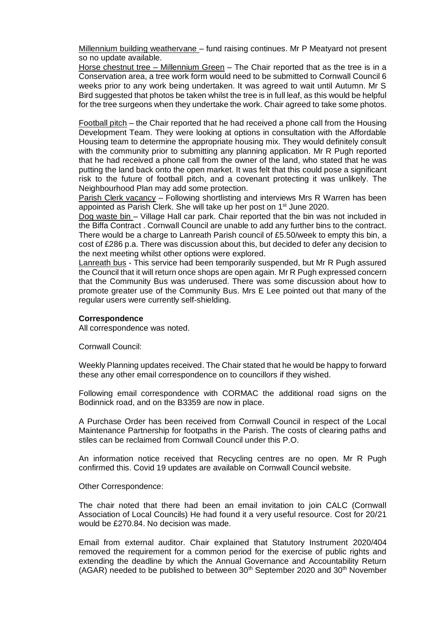Millennium building weathervane – fund raising continues. Mr P Meatyard not present so no update available.

Horse chestnut tree – Millennium Green – The Chair reported that as the tree is in a Conservation area, a tree work form would need to be submitted to Cornwall Council 6 weeks prior to any work being undertaken. It was agreed to wait until Autumn. Mr S Bird suggested that photos be taken whilst the tree is in full leaf, as this would be helpful for the tree surgeons when they undertake the work. Chair agreed to take some photos.

Football pitch – the Chair reported that he had received a phone call from the Housing Development Team. They were looking at options in consultation with the Affordable Housing team to determine the appropriate housing mix. They would definitely consult with the community prior to submitting any planning application. Mr R Pugh reported that he had received a phone call from the owner of the land, who stated that he was putting the land back onto the open market. It was felt that this could pose a significant risk to the future of football pitch, and a covenant protecting it was unlikely. The Neighbourhood Plan may add some protection.

Parish Clerk vacancy – Following shortlisting and interviews Mrs R Warren has been appointed as Parish Clerk. She will take up her post on 1<sup>st</sup> June 2020.

Dog waste bin – Village Hall car park. Chair reported that the bin was not included in the Biffa Contract . Cornwall Council are unable to add any further bins to the contract. There would be a charge to Lanreath Parish council of £5.50/week to empty this bin, a cost of £286 p.a. There was discussion about this, but decided to defer any decision to the next meeting whilst other options were explored.

Lanreath bus - This service had been temporarily suspended, but Mr R Pugh assured the Council that it will return once shops are open again. Mr R Pugh expressed concern that the Community Bus was underused. There was some discussion about how to promote greater use of the Community Bus. Mrs E Lee pointed out that many of the regular users were currently self-shielding.

### **Correspondence**

All correspondence was noted.

Cornwall Council:

Weekly Planning updates received. The Chair stated that he would be happy to forward these any other email correspondence on to councillors if they wished.

Following email correspondence with CORMAC the additional road signs on the Bodinnick road, and on the B3359 are now in place.

A Purchase Order has been received from Cornwall Council in respect of the Local Maintenance Partnership for footpaths in the Parish. The costs of clearing paths and stiles can be reclaimed from Cornwall Council under this P.O.

An information notice received that Recycling centres are no open. Mr R Pugh confirmed this. Covid 19 updates are available on Cornwall Council website.

#### Other Correspondence:

The chair noted that there had been an email invitation to join CALC (Cornwall Association of Local Councils) He had found it a very useful resource. Cost for 20/21 would be £270.84. No decision was made.

Email from external auditor. Chair explained that Statutory Instrument 2020/404 removed the requirement for a common period for the exercise of public rights and extending the deadline by which the Annual Governance and Accountability Return  $(AGAR)$  needed to be published to between  $30<sup>th</sup>$  September 2020 and  $30<sup>th</sup>$  November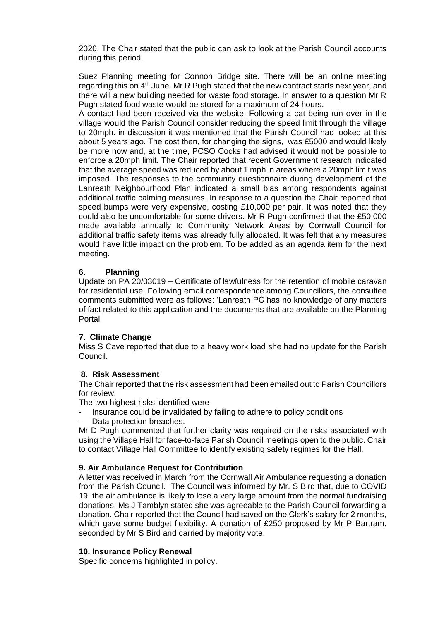2020. The Chair stated that the public can ask to look at the Parish Council accounts during this period.

Suez Planning meeting for Connon Bridge site. There will be an online meeting regarding this on  $4<sup>th</sup>$  June. Mr R Pugh stated that the new contract starts next year, and there will a new building needed for waste food storage. In answer to a question Mr R Pugh stated food waste would be stored for a maximum of 24 hours.

A contact had been received via the website. Following a cat being run over in the village would the Parish Council consider reducing the speed limit through the village to 20mph. in discussion it was mentioned that the Parish Council had looked at this about 5 years ago. The cost then, for changing the signs, was £5000 and would likely be more now and, at the time, PCSO Cocks had advised it would not be possible to enforce a 20mph limit. The Chair reported that recent Government research indicated that the average speed was reduced by about 1 mph in areas where a 20mph limit was imposed. The responses to the community questionnaire during development of the Lanreath Neighbourhood Plan indicated a small bias among respondents against additional traffic calming measures. In response to a question the Chair reported that speed bumps were very expensive, costing £10,000 per pair. It was noted that they could also be uncomfortable for some drivers. Mr R Pugh confirmed that the £50,000 made available annually to Community Network Areas by Cornwall Council for additional traffic safety items was already fully allocated. It was felt that any measures would have little impact on the problem. To be added as an agenda item for the next meeting.

# **6. Planning**

Update on PA 20/03019 – Certificate of lawfulness for the retention of mobile caravan for residential use. Following email correspondence among Councillors, the consultee comments submitted were as follows: 'Lanreath PC has no knowledge of any matters of fact related to this application and the documents that are available on the Planning Portal

# **7. Climate Change**

Miss S Cave reported that due to a heavy work load she had no update for the Parish Council.

### **8. Risk Assessment**

The Chair reported that the risk assessment had been emailed out to Parish Councillors for review.

The two highest risks identified were

- Insurance could be invalidated by failing to adhere to policy conditions
- Data protection breaches.

Mr D Pugh commented that further clarity was required on the risks associated with using the Village Hall for face-to-face Parish Council meetings open to the public. Chair to contact Village Hall Committee to identify existing safety regimes for the Hall.

### **9. Air Ambulance Request for Contribution**

A letter was received in March from the Cornwall Air Ambulance requesting a donation from the Parish Council. The Council was informed by Mr. S Bird that, due to COVID 19, the air ambulance is likely to lose a very large amount from the normal fundraising donations. Ms J Tamblyn stated she was agreeable to the Parish Council forwarding a donation. Chair reported that the Council had saved on the Clerk's salary for 2 months, which gave some budget flexibility. A donation of £250 proposed by Mr P Bartram, seconded by Mr S Bird and carried by majority vote.

### **10. Insurance Policy Renewal**

Specific concerns highlighted in policy.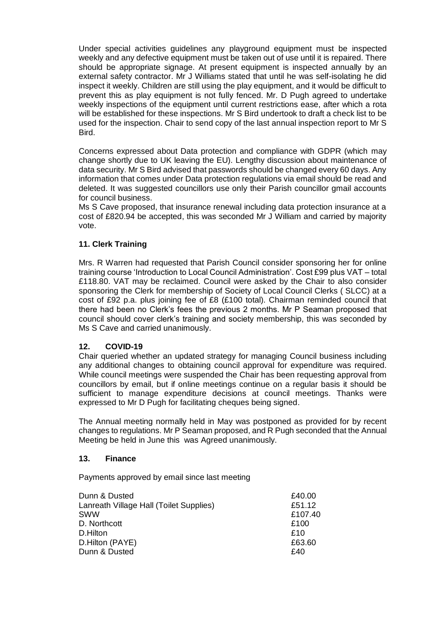Under special activities guidelines any playground equipment must be inspected weekly and any defective equipment must be taken out of use until it is repaired. There should be appropriate signage. At present equipment is inspected annually by an external safety contractor. Mr J Williams stated that until he was self-isolating he did inspect it weekly. Children are still using the play equipment, and it would be difficult to prevent this as play equipment is not fully fenced. Mr. D Pugh agreed to undertake weekly inspections of the equipment until current restrictions ease, after which a rota will be established for these inspections. Mr S Bird undertook to draft a check list to be used for the inspection. Chair to send copy of the last annual inspection report to Mr S Bird.

Concerns expressed about Data protection and compliance with GDPR (which may change shortly due to UK leaving the EU). Lengthy discussion about maintenance of data security. Mr S Bird advised that passwords should be changed every 60 days. Any information that comes under Data protection regulations via email should be read and deleted. It was suggested councillors use only their Parish councillor gmail accounts for council business.

Ms S Cave proposed, that insurance renewal including data protection insurance at a cost of £820.94 be accepted, this was seconded Mr J William and carried by majority vote.

# **11. Clerk Training**

Mrs. R Warren had requested that Parish Council consider sponsoring her for online training course 'Introduction to Local Council Administration'. Cost £99 plus VAT – total £118.80. VAT may be reclaimed. Council were asked by the Chair to also consider sponsoring the Clerk for membership of Society of Local Council Clerks ( SLCC) at a cost of £92 p.a. plus joining fee of £8 (£100 total). Chairman reminded council that there had been no Clerk's fees the previous 2 months. Mr P Seaman proposed that council should cover clerk's training and society membership, this was seconded by Ms S Cave and carried unanimously.

# **12. COVID-19**

Chair queried whether an updated strategy for managing Council business including any additional changes to obtaining council approval for expenditure was required. While council meetings were suspended the Chair has been requesting approval from councillors by email, but if online meetings continue on a regular basis it should be sufficient to manage expenditure decisions at council meetings. Thanks were expressed to Mr D Pugh for facilitating cheques being signed.

The Annual meeting normally held in May was postponed as provided for by recent changes to regulations. Mr P Seaman proposed, and R Pugh seconded that the Annual Meeting be held in June this was Agreed unanimously.

# **13. Finance**

Payments approved by email since last meeting

| Dunn & Dusted                           | £40.00  |
|-----------------------------------------|---------|
| Lanreath Village Hall (Toilet Supplies) | £51.12  |
| <b>SWW</b>                              | £107.40 |
| D. Northcott                            | £100    |
| D.Hilton                                | £10     |
| D.Hilton (PAYE)                         | £63.60  |
| Dunn & Dusted                           | £40     |
|                                         |         |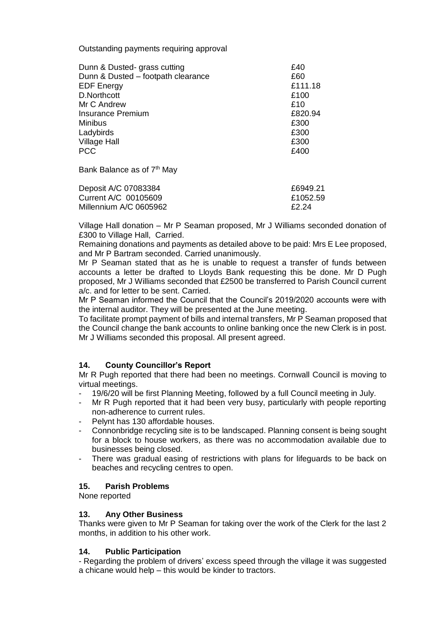Outstanding payments requiring approval

| Dunn & Dusted- grass cutting       | £40     |
|------------------------------------|---------|
| Dunn & Dusted - footpath clearance | £60     |
| <b>EDF Energy</b>                  | £111.18 |
| D.Northcott                        | £100    |
| Mr C Andrew                        | £10     |
| <b>Insurance Premium</b>           | £820.94 |
| <b>Minibus</b>                     | £300    |
| Ladybirds                          | £300    |
| <b>Village Hall</b>                | £300    |
| <b>PCC</b>                         | £400    |
|                                    |         |

Bank Balance as of 7<sup>th</sup> May

| Deposit A/C 07083384   | £6949.21 |
|------------------------|----------|
| Current A/C 00105609   | £1052.59 |
| Millennium A/C 0605962 | F2.24    |

Village Hall donation – Mr P Seaman proposed, Mr J Williams seconded donation of £300 to Village Hall, Carried.

Remaining donations and payments as detailed above to be paid: Mrs E Lee proposed, and Mr P Bartram seconded. Carried unanimously.

Mr P Seaman stated that as he is unable to request a transfer of funds between accounts a letter be drafted to Lloyds Bank requesting this be done. Mr D Pugh proposed, Mr J Williams seconded that £2500 be transferred to Parish Council current a/c. and for letter to be sent. Carried.

Mr P Seaman informed the Council that the Council's 2019/2020 accounts were with the internal auditor. They will be presented at the June meeting.

To facilitate prompt payment of bills and internal transfers, Mr P Seaman proposed that the Council change the bank accounts to online banking once the new Clerk is in post. Mr J Williams seconded this proposal. All present agreed.

# **14. County Councillor's Report**

Mr R Pugh reported that there had been no meetings. Cornwall Council is moving to virtual meetings.

- 19/6/20 will be first Planning Meeting, followed by a full Council meeting in July.
- Mr R Pugh reported that it had been very busy, particularly with people reporting non-adherence to current rules.
- Pelynt has 130 affordable houses.
- Connonbridge recycling site is to be landscaped. Planning consent is being sought for a block to house workers, as there was no accommodation available due to businesses being closed.
- There was gradual easing of restrictions with plans for lifeguards to be back on beaches and recycling centres to open.

# **15. Parish Problems**

None reported

### **13. Any Other Business**

Thanks were given to Mr P Seaman for taking over the work of the Clerk for the last 2 months, in addition to his other work.

### **14. Public Participation**

- Regarding the problem of drivers' excess speed through the village it was suggested a chicane would help – this would be kinder to tractors.